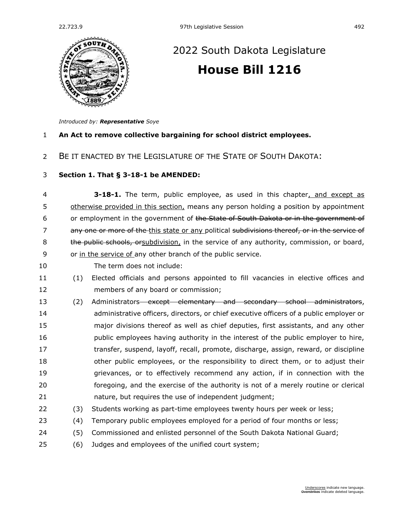

# [2022 South Dakota Legislature](https://sdlegislature.gov/Session/Bills/64) **[House Bill 1216](https://sdlegislature.gov/Session/Bill/23294)**

*Introduced by: Representative [Soye](https://sdlegislature.gov/Legislators/Profile/3997/Detail)*

### **An Act to remove collective bargaining for school district employees.**

BE IT ENACTED BY THE LEGISLATURE OF THE STATE OF SOUTH DAKOTA:

### **Section 1. [That § 3-18-1 be AMENDED:](https://sdlegislature.gov/Statutes?Statute=3-18-1)**

 **[3-18-1.](https://sdlegislature.gov/Statutes/Codified_Laws/DisplayStatute.aspx?Type=Statute&Statute=3-18-1)** The term, public employee, as used in this chapter, and except as otherwise provided in this section, means any person holding a position by appointment 6 or employment in the government of the State of South Dakota or in the government of 7 any one or more of the this state or any political subdivisions thereof, or in the service of 8 the public schools, orsubdivision, in the service of any authority, commission, or board, or in the service of any other branch of the public service.

- The term does not include:
- (1) Elected officials and persons appointed to fill vacancies in elective offices and members of any board or commission;
- 13 (2) Administrators except elementary and secondary school administrators, administrative officers, directors, or chief executive officers of a public employer or major divisions thereof as well as chief deputies, first assistants, and any other 16 bublic employees having authority in the interest of the public employer to hire, transfer, suspend, layoff, recall, promote, discharge, assign, reward, or discipline other public employees, or the responsibility to direct them, or to adjust their grievances, or to effectively recommend any action, if in connection with the foregoing, and the exercise of the authority is not of a merely routine or clerical nature, but requires the use of independent judgment;
- (3) Students working as part-time employees twenty hours per week or less;
- (4) Temporary public employees employed for a period of four months or less;
- (5) Commissioned and enlisted personnel of the South Dakota National Guard;
- (6) Judges and employees of the unified court system;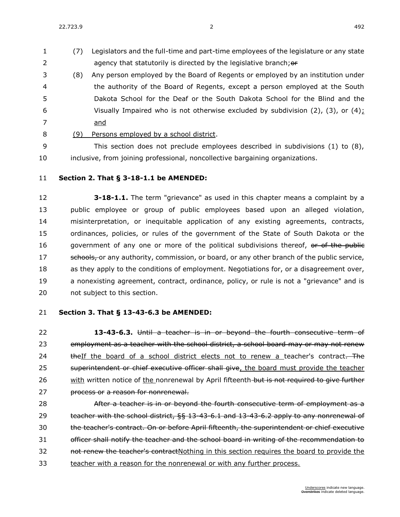22.723.9 2 492

- (7) Legislators and the full-time and part-time employees of the legislature or any state 2 agency that statutorily is directed by the legislative branch; or
- (8) Any person employed by the Board of Regents or employed by an institution under the authority of the Board of Regents, except a person employed at the South Dakota School for the Deaf or the South Dakota School for the Blind and the 6 Visually Impaired who is not otherwise excluded by subdivision (2), (3), or (4): and
- 
- (9) Persons employed by a school district.
- This section does not preclude employees described in subdivisions (1) to (8), inclusive, from joining professional, noncollective bargaining organizations.
- **Section 2. [That § 3-18-1.1 be AMENDED:](https://sdlegislature.gov/Statutes?Statute=3-18-1.1)**

 **[3-18-1.1.](https://sdlegislature.gov/Statutes/Codified_Laws/DisplayStatute.aspx?Type=Statute&Statute=3-18-1.1)** The term "grievance" as used in this chapter means a complaint by a public employee or group of public employees based upon an alleged violation, misinterpretation, or inequitable application of any existing agreements, contracts, ordinances, policies, or rules of the government of the State of South Dakota or the 16 government of any one or more of the political subdivisions thereof, or of the public 17 schools, or any authority, commission, or board, or any other branch of the public service, as they apply to the conditions of employment. Negotiations for, or a disagreement over, a nonexisting agreement, contract, ordinance, policy, or rule is not a "grievance" and is not subject to this section.

## **Section 3. [That § 13-43-6.3 be AMENDED:](https://sdlegislature.gov/Statutes?Statute=13-43-6.3)**

 **[13-43-6.3.](https://sdlegislature.gov/Statutes/Codified_Laws/DisplayStatute.aspx?Type=Statute&Statute=13-43-6.3)** Until a teacher is in or beyond the fourth consecutive term of 23 employment as a teacher with the school district, a school board may or may not renew 24 theIf the board of a school district elects not to renew a teacher's contract. The 25 superintendent or chief executive officer shall give, the board must provide the teacher 26 with written notice of the nonrenewal by April fifteenth-but is not required to give further **process or a reason for nonrenewal.** 

**After a teacher is in or beyond the fourth consecutive term of employment as a** 29 teacher with the school district, §§ [13-43-6.1](https://sdlegislature.gov/Statutes?Statute=13-43-6.1) and [13-43-6.2](https://sdlegislature.gov/Statutes?Statute=13-43-6.2) apply to any nonrenewal of the teacher's contract. On or before April fifteenth, the superintendent or chief executive officer shall notify the teacher and the school board in writing of the recommendation to 32 not renew the teacher's contractNothing in this section requires the board to provide the teacher with a reason for the nonrenewal or with any further process.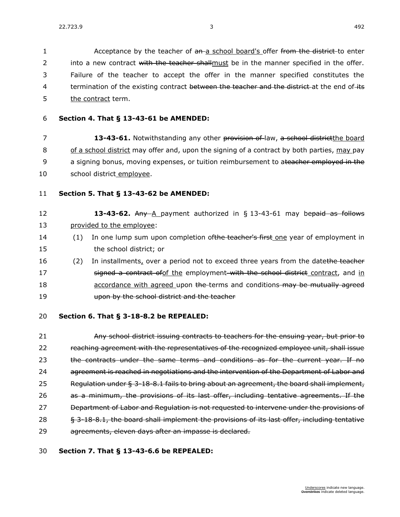1 Acceptance by the teacher of an a school board's offer from the district-to enter 2 into a new contract with the teacher shall must be in the manner specified in the offer. 3 Failure of the teacher to accept the offer in the manner specified constitutes the 4 termination of the existing contract between the teacher and the district at the end of its 5 the contract term.

6 **Section 4. [That § 13-43-61 be AMENDED:](https://sdlegislature.gov/Statutes?Statute=13-43-61)**

 **[13-43-61.](https://sdlegislature.gov/Statutes/Codified_Laws/DisplayStatute.aspx?Type=Statute&Statute=13-43-61)** Notwithstanding any other provision of law, a school districtthe board of a school district may offer and, upon the signing of a contract by both parties, may pay 9 a signing bonus, moving expenses, or tuition reimbursement to ateacher employed in the school district employee.

- 11 **Section 5. [That § 13-43-62 be AMENDED:](https://sdlegislature.gov/Statutes?Statute=13-43-62)**
- 12 **13-43-62.** Any A payment authorized in § [13-43-61](https://sdlegislature.gov/Statutes/Codified_Laws/DisplayStatute.aspx?Type=Statute&Statute=13-43-61) may bepaid as follows 13 provided to the employee:
- 14 (1) In one lump sum upon completion of the teacher's first one year of employment in 15 the school district; or
- 16 (2) In installments, over a period not to exceed three years from the datethe teacher 17 signed a contract of of the employment with the school district contract, and in 18 **accordance with agreed upon the terms and conditions-may be mutually agreed** 19 upon by the school district and the teacher
- 20 **Section 6. That § [3-18-8.2](https://sdlegislature.gov/Statutes?Statute=3-18-8.2) be REPEALED:**

21 **Any school district issuing contracts to teachers for the ensuing year, but prior to** 22 reaching agreement with the representatives of the recognized employee unit, shall issue 23 the contracts under the same terms and conditions as for the current year. If no 24 agreement is reached in negotiations and the intervention of the Department of Labor and 25 Regulation under § [3-18-8.1](https://sdlegislature.gov/Statutes/Codified_Laws/DisplayStatute.aspx?Type=Statute&Statute=3-18-8.1) fails to bring about an agreement, the board shall implement, 26 as a minimum, the provisions of its last offer, including tentative agreements. If the 27 Department of Labor and Regulation is not requested to intervene under the provisions of 28 § [3-18-8.1,](https://sdlegislature.gov/Statutes/Codified_Laws/DisplayStatute.aspx?Type=Statute&Statute=3-18-8.1) the board shall implement the provisions of its last offer, including tentative 29 agreements, eleven days after an impasse is declared.

## 30 **Section 7. That § [13-43-6.6](https://sdlegislature.gov/Statutes?Statute=13-43-6.6) be REPEALED:**